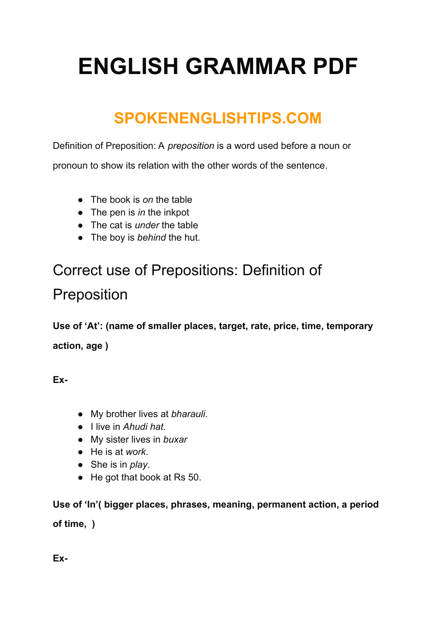# **ENGLISH GRAMMAR PDF**

# **SPOKENENGLISHTIPS.COM**

Definition of Preposition: A *preposition* is a word used before a noun or

pronoun to show its relation with the other words of the sentence.

- The book is *on* the table
- The pen is *in* the inkpot
- The cat is *under* the table
- The boy is *behind* the hut.

# Correct use of Prepositions: Definition of Preposition

**Use of 'At': (name of smaller places, target, rate, price, time, temporary action, age )**

**Ex-**

- My brother lives at *bharauli*.
- I live in *Ahudi hat.*
- My sister lives in *buxar*
- He is at *work*.
- She is in *play*.
- He got that book at Rs 50.

**Use of 'In'( bigger places, phrases, meaning, permanent action, a period of time, )**

**Ex-**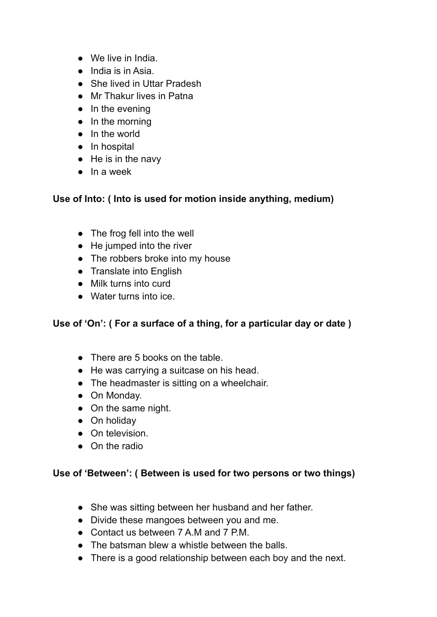- We live in India.
- India is in Asia.
- She lived in Uttar Pradesh
- Mr Thakur lives in Patna
- In the evening
- In the morning
- In the world
- In hospital
- He is in the navy
- $\bullet$  In a week

# **Use of Into: ( Into is used for motion inside anything, medium)**

- The frog fell into the well
- He jumped into the river
- The robbers broke into my house
- Translate into English
- Milk turns into curd
- Water turns into ice.

# **Use of 'On': ( For a surface of a thing, for a particular day or date )**

- There are 5 books on the table.
- He was carrying a suitcase on his head.
- The headmaster is sitting on a wheelchair.
- On Monday.
- On the same night.
- On holidav
- On television.
- On the radio

#### **Use of 'Between': ( Between is used for two persons or two things)**

- She was sitting between her husband and her father.
- Divide these mangoes between you and me.
- Contact us between 7 A.M and 7 P.M.
- $\bullet$  The batsman blew a whistle between the balls.
- There is a good relationship between each boy and the next.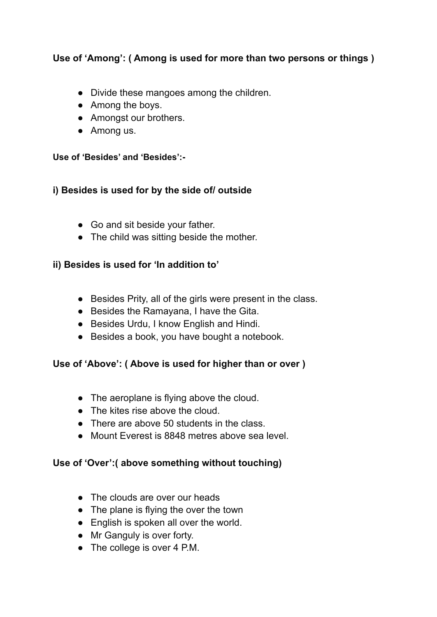# **Use of 'Among': ( Among is used for more than two persons or things )**

- Divide these mangoes among the children.
- Among the boys.
- Amongst our brothers.
- Among us.

#### **Use of 'Besides' and 'Besides':-**

#### **i) Besides is used for by the side of/ outside**

- Go and sit beside your father.
- The child was sitting beside the mother.

#### **ii) Besides is used for 'In addition to'**

- Besides Prity, all of the girls were present in the class.
- Besides the Ramayana, I have the Gita.
- Besides Urdu, I know English and Hindi.
- Besides a book, you have bought a notebook.

#### **Use of 'Above': ( Above is used for higher than or over )**

- The aeroplane is flying above the cloud.
- The kites rise above the cloud.
- There are above 50 students in the class.
- Mount Everest is 8848 metres above sea level.

#### **Use of 'Over':( above something without touching)**

- The clouds are over our heads
- The plane is flying the over the town
- English is spoken all over the world.
- Mr Ganguly is over forty.
- The college is over 4 P.M.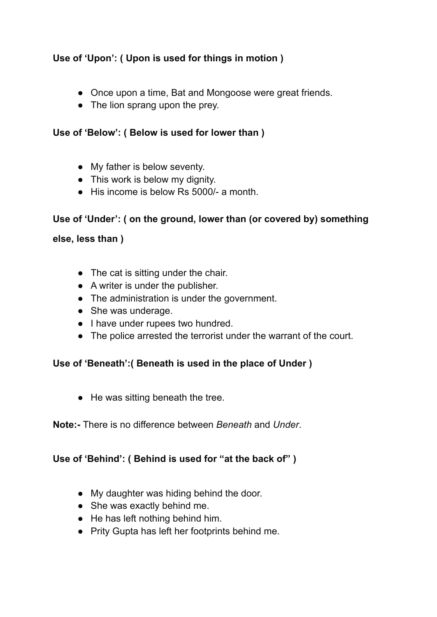# **Use of 'Upon': ( Upon is used for things in motion )**

- Once upon a time, Bat and Mongoose were great friends.
- The lion sprang upon the prey.

# **Use of 'Below': ( Below is used for lower than )**

- My father is below seventy.
- This work is below my dignity.
- $\bullet$  His income is below Rs 5000/- a month.

#### **Use of 'Under': ( on the ground, lower than (or covered by) something**

#### **else, less than )**

- The cat is sitting under the chair.
- A writer is under the publisher.
- The administration is under the government.
- She was underage.
- I have under rupees two hundred.
- The police arrested the terrorist under the warrant of the court.

# **Use of 'Beneath':( Beneath is used in the place of Under )**

● He was sitting beneath the tree.

#### **Note:-** There is no difference between *Beneath* and *Under*.

# **Use of 'Behind': ( Behind is used for "at the back of" )**

- My daughter was hiding behind the door.
- She was exactly behind me.
- He has left nothing behind him.
- Prity Gupta has left her footprints behind me.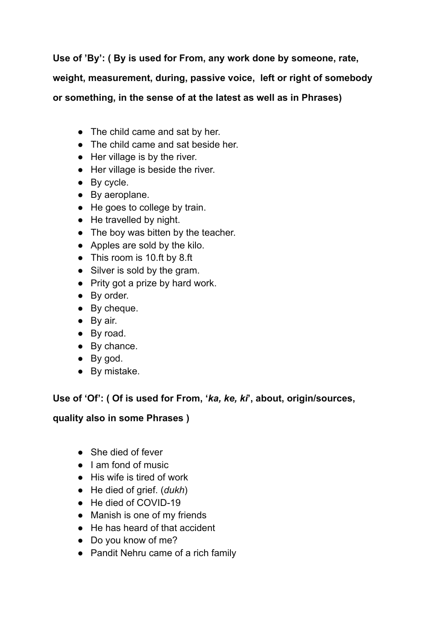**Use of 'By': ( By is used for From, any work done by someone, rate,**

**weight, measurement, during, passive voice, left or right of somebody**

**or something, in the sense of at the latest as well as in Phrases)**

- The child came and sat by her.
- The child came and sat beside her.
- Her village is by the river.
- Her village is beside the river.
- By cycle.
- By aeroplane.
- He goes to college by train.
- He travelled by night.
- The boy was bitten by the teacher.
- Apples are sold by the kilo.
- This room is 10.ft by 8.ft
- Silver is sold by the gram.
- Prity got a prize by hard work.
- By order.
- By cheque.
- By air.
- By road.
- By chance.
- By god.
- By mistake.

# **Use of 'Of': ( Of is used for From, '***ka, ke, ki***', about, origin/sources,**

# **quality also in some Phrases )**

- She died of fever
- Lam fond of music
- His wife is tired of work
- He died of grief. (*dukh*)
- He died of COVID-19
- Manish is one of my friends
- He has heard of that accident
- Do you know of me?
- Pandit Nehru came of a rich family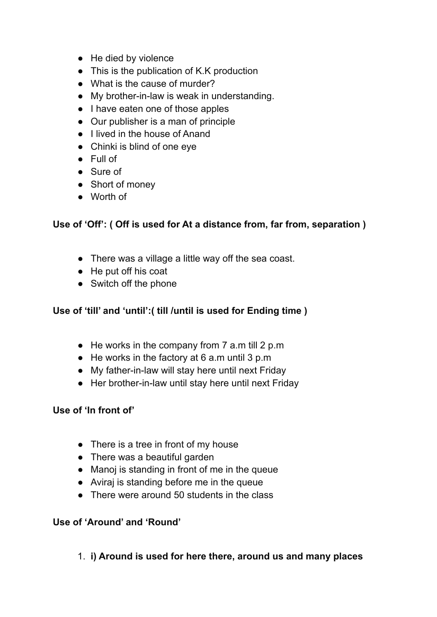- He died by violence
- This is the publication of K.K production
- What is the cause of murder?
- My brother-in-law is weak in understanding.
- I have eaten one of those apples
- Our publisher is a man of principle
- I lived in the house of Anand
- Chinki is blind of one eye
- Full of
- Sure of
- Short of money
- Worth of

#### **Use of 'Off': ( Off is used for At a distance from, far from, separation )**

- There was a village a little way off the sea coast.
- He put off his coat
- Switch off the phone

# **Use of 'till' and 'until':( till /until is used for Ending time )**

- $\bullet$  He works in the company from 7 a.m till 2 p.m
- He works in the factory at 6 a.m until 3 p.m
- My father-in-law will stay here until next Friday
- Her brother-in-law until stay here until next Friday

#### **Use of 'In front of'**

- There is a tree in front of my house
- There was a beautiful garden
- Manoj is standing in front of me in the queue
- Aviraj is standing before me in the queue
- There were around 50 students in the class

#### **Use of 'Around' and 'Round'**

1. **i) Around is used for here there, around us and many places**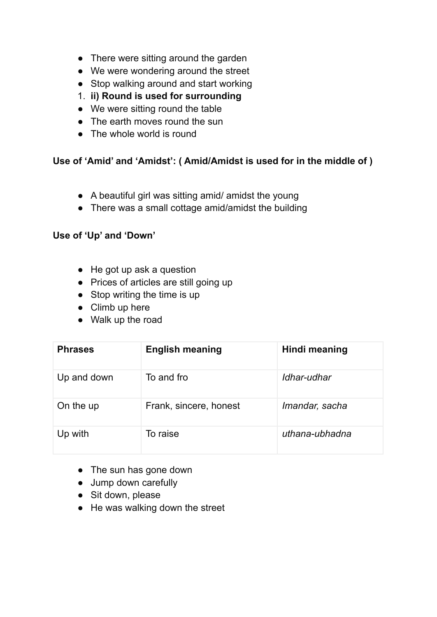- There were sitting around the garden
- We were wondering around the street
- Stop walking around and start working
- 1. **ii) Round is used for surrounding**
- We were sitting round the table
- The earth moves round the sun
- The whole world is round

# **Use of 'Amid' and 'Amidst': ( Amid/Amidst is used for in the middle of )**

- A beautiful girl was sitting amid/ amidst the young
- There was a small cottage amid/amidst the building

#### **Use of 'Up' and 'Down'**

- $\bullet$  He got up ask a question
- Prices of articles are still going up
- Stop writing the time is up
- Climb up here
- Walk up the road

| <b>Phrases</b> | <b>English meaning</b> | Hindi meaning  |
|----------------|------------------------|----------------|
| Up and down    | To and fro             | Idhar-udhar    |
| On the up      | Frank, sincere, honest | Imandar, sacha |
| Up with        | To raise               | uthana-ubhadna |

- The sun has gone down
- Jump down carefully
- Sit down, please
- $\bullet$  He was walking down the street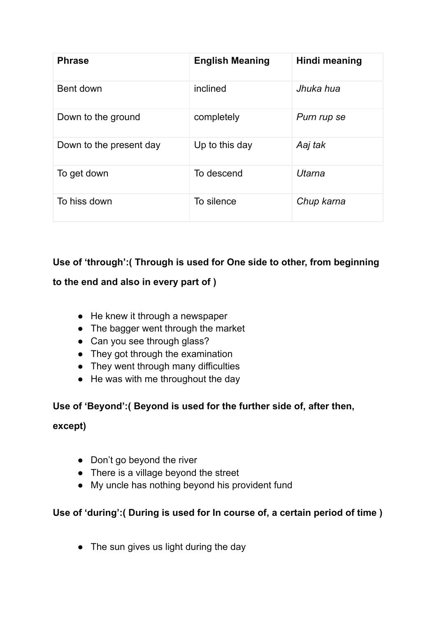| <b>Phrase</b>           | <b>English Meaning</b> | <b>Hindi meaning</b> |
|-------------------------|------------------------|----------------------|
| Bent down               | inclined               | Jhuka hua            |
| Down to the ground      | completely             | Purn rup se          |
| Down to the present day | Up to this day         | Aaj tak              |
| To get down             | To descend             | Utarna               |
| To hiss down            | To silence             | Chup karna           |

# **Use of 'through':( Through is used for One side to other, from beginning**

# **to the end and also in every part of )**

- $\bullet$  He knew it through a newspaper
- The bagger went through the market
- Can you see through glass?
- They got through the examination
- They went through many difficulties
- He was with me throughout the day

# **Use of 'Beyond':( Beyond is used for the further side of, after then,**

#### **except)**

- Don't go beyond the river
- There is a village beyond the street
- My uncle has nothing beyond his provident fund

# **Use of 'during':( During is used for In course of, a certain period of time )**

• The sun gives us light during the day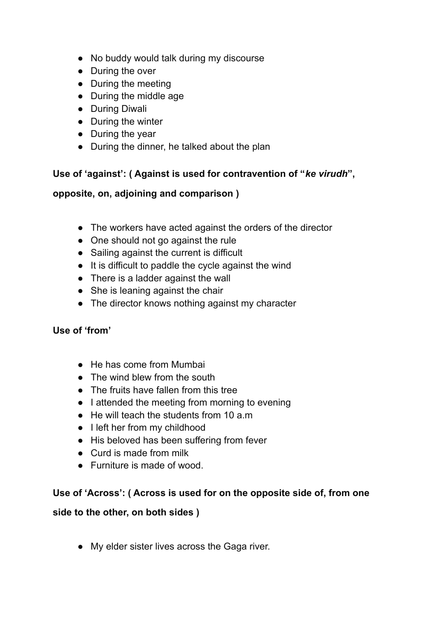- No buddy would talk during my discourse
- During the over
- During the meeting
- During the middle age
- During Diwali
- During the winter
- During the year
- During the dinner, he talked about the plan

# **Use of 'against': ( Against is used for contravention of "***ke virudh***",**

#### **opposite, on, adjoining and comparison )**

- The workers have acted against the orders of the director
- One should not go against the rule
- Sailing against the current is difficult
- It is difficult to paddle the cycle against the wind
- There is a ladder against the wall
- She is leaning against the chair
- The director knows nothing against my character

#### **Use of 'from'**

- He has come from Mumbai
- The wind blew from the south
- The fruits have fallen from this tree
- I attended the meeting from morning to evening
- $\bullet$  He will teach the students from 10 a.m.
- I left her from my childhood
- His beloved has been suffering from fever
- Curd is made from milk
- Furniture is made of wood.

#### **Use of 'Across': ( Across is used for on the opposite side of, from one**

#### **side to the other, on both sides )**

● My elder sister lives across the Gaga river.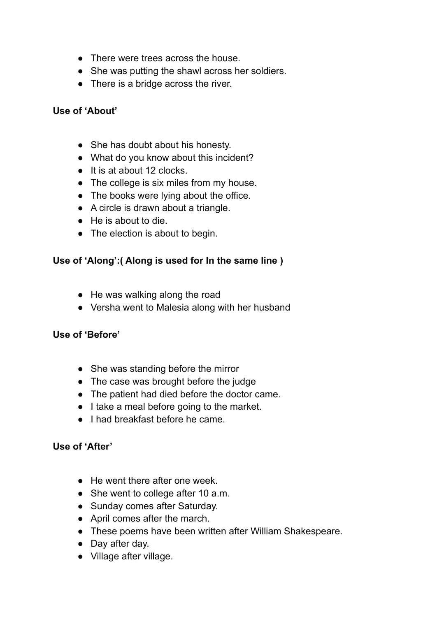- There were trees across the house.
- She was putting the shawl across her soldiers.
- There is a bridge across the river.

#### **Use of 'About'**

- She has doubt about his honesty.
- What do you know about this incident?
- It is at about 12 clocks.
- The college is six miles from my house.
- The books were lying about the office.
- A circle is drawn about a triangle.
- He is about to die.
- The election is about to begin.

#### **Use of 'Along':( Along is used for In the same line )**

- He was walking along the road
- Versha went to Malesia along with her husband

#### **Use of 'Before'**

- She was standing before the mirror
- The case was brought before the judge
- The patient had died before the doctor came.
- I take a meal before going to the market.
- I had breakfast before he came.

#### **Use of 'After'**

- He went there after one week.
- She went to college after 10 a.m.
- Sunday comes after Saturday.
- April comes after the march.
- These poems have been written after William Shakespeare.
- Day after day.
- Village after village.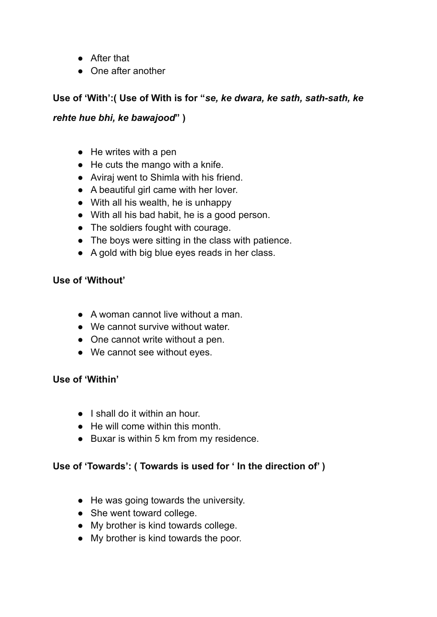- After that
- One after another

# **Use of 'With':( Use of With is for "***se, ke dwara, ke sath, sath-sath, ke*

# *rehte hue bhi, ke bawajood***" )**

- $\bullet$  He writes with a pen
- $\bullet$  He cuts the mango with a knife.
- Aviraj went to Shimla with his friend.
- A beautiful girl came with her lover.
- With all his wealth, he is unhappy
- With all his bad habit, he is a good person.
- The soldiers fought with courage.
- The boys were sitting in the class with patience.
- A gold with big blue eyes reads in her class.

# **Use of 'Without'**

- A woman cannot live without a man.
- We cannot survive without water.
- One cannot write without a pen.
- We cannot see without eyes.

#### **Use of 'Within'**

- I shall do it within an hour.
- He will come within this month.
- Buxar is within 5 km from my residence.

# **Use of 'Towards': ( Towards is used for ' In the direction of' )**

- He was going towards the university.
- She went toward college.
- My brother is kind towards college.
- My brother is kind towards the poor.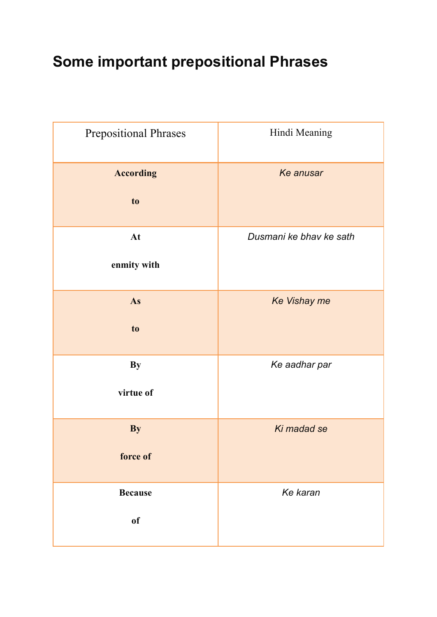# **Some important prepositional Phrases**

| <b>Prepositional Phrases</b> | Hindi Meaning           |
|------------------------------|-------------------------|
| <b>According</b>             | Ke anusar               |
| to                           |                         |
| At                           | Dusmani ke bhav ke sath |
| enmity with                  |                         |
| As                           | Ke Vishay me            |
| to                           |                         |
| <b>By</b>                    | Ke aadhar par           |
| virtue of                    |                         |
| <b>By</b>                    | Ki madad se             |
| force of                     |                         |
| <b>Because</b>               | Ke karan                |
| of                           |                         |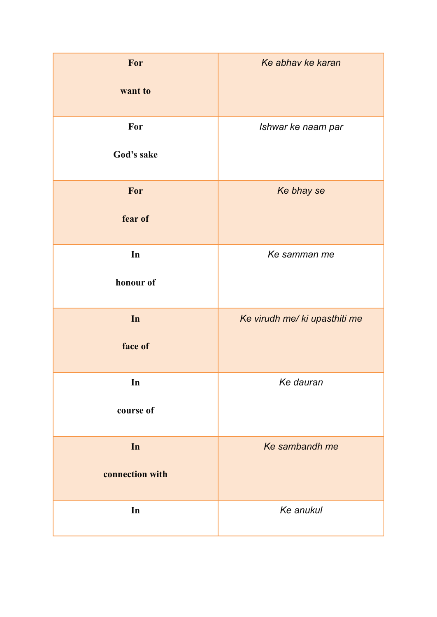| For<br>want to        | Ke abhav ke karan             |
|-----------------------|-------------------------------|
| For<br>God's sake     | Ishwar ke naam par            |
| For<br>fear of        | Ke bhay se                    |
| In<br>honour of       | Ke samman me                  |
| In<br>face of         | Ke virudh me/ ki upasthiti me |
| In<br>course of       | Ke dauran                     |
| In<br>connection with | Ke sambandh me                |
| In                    | Ke anukul                     |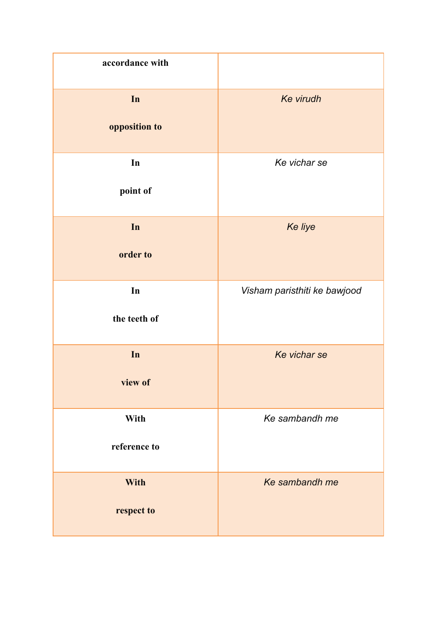| accordance with           |                              |
|---------------------------|------------------------------|
| In<br>opposition to       | <b>Ke virudh</b>             |
| In<br>point of            | Ke vichar se                 |
| In<br>order to            | Ke liye                      |
| In<br>the teeth of        | Visham paristhiti ke bawjood |
| In<br>view of             | Ke vichar se                 |
| With<br>reference to      | Ke sambandh me               |
| <b>With</b><br>respect to | Ke sambandh me               |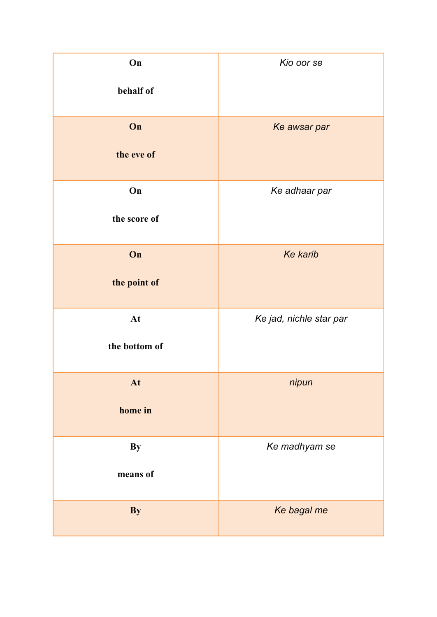| On<br>behalf of       | Kio oor se              |
|-----------------------|-------------------------|
| On<br>the eve of      | Ke awsar par            |
| On<br>the score of    | Ke adhaar par           |
| On<br>the point of    | <b>Ke karib</b>         |
| At<br>the bottom of   | Ke jad, nichle star par |
| At<br>home in         | nipun                   |
| <b>By</b><br>means of | Ke madhyam se           |
| By                    | Ke bagal me             |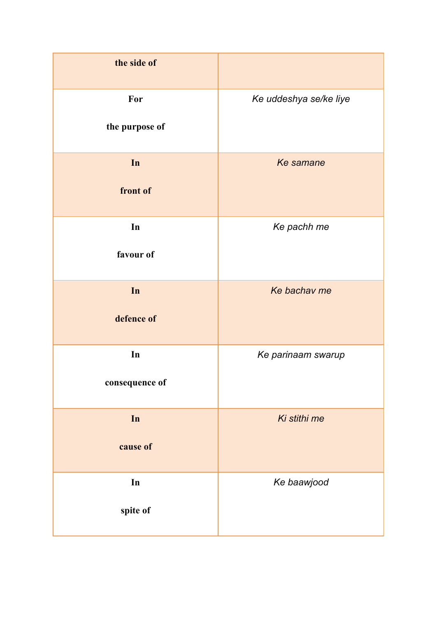| the side of           |                        |
|-----------------------|------------------------|
| For<br>the purpose of | Ke uddeshya se/ke liye |
| In<br>front of        | Ke samane              |
| In<br>favour of       | Ke pachh me            |
| In<br>defence of      | Ke bachav me           |
| In<br>consequence of  | Ke parinaam swarup     |
| In<br>cause of        | Ki stithi me           |
| In<br>spite of        | Ke baawjood            |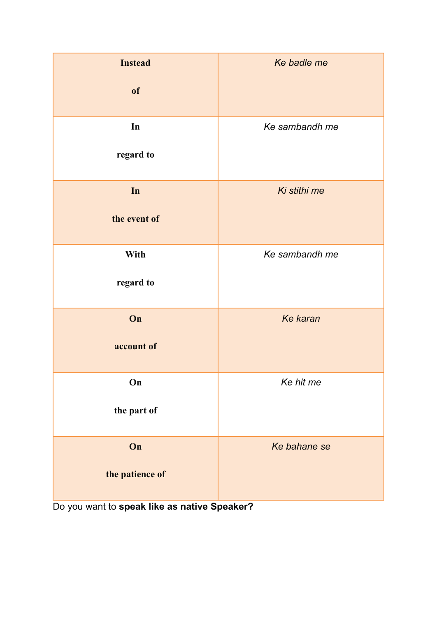| <b>Instead</b><br>of  | Ke badle me    |
|-----------------------|----------------|
| In<br>regard to       | Ke sambandh me |
| In<br>the event of    | Ki stithi me   |
| With<br>regard to     | Ke sambandh me |
| On<br>account of      | Ke karan       |
| On<br>the part of     | Ke hit me      |
| On<br>the patience of | Ke bahane se   |

Do you want to **speak like as native Speaker?**